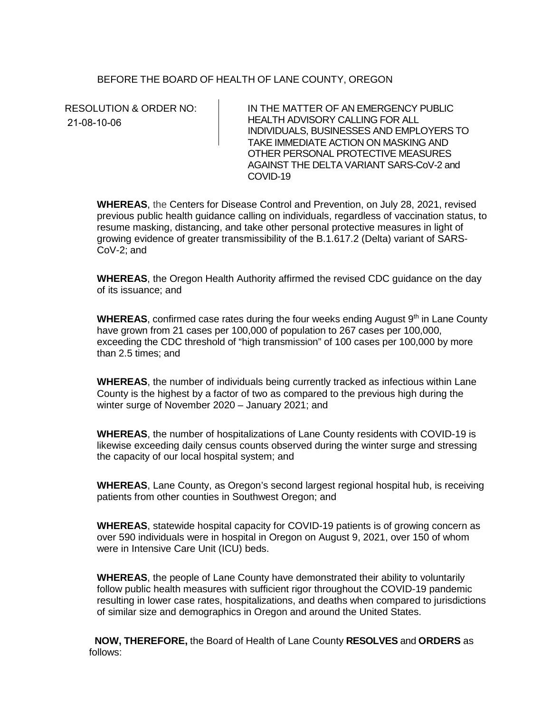## BEFORE THE BOARD OF HEALTH OF LANE COUNTY, OREGON

21-08-10-06

RESOLUTION & ORDER NO: IN THE MATTER OF AN EMERGENCY PUBLIC HEALTH ADVISORY CALLING FOR ALL INDIVIDUALS, BUSINESSES AND EMPLOYERS TO TAKE IMMEDIATE ACTION ON MASKING AND OTHER PERSONAL PROTECTIVE MEASURES AGAINST THE DELTA VARIANT SARS-CoV-2 and COVID-19

**WHEREAS**, the Centers for Disease Control and Prevention, on July 28, 2021, revised previous public health guidance calling on individuals, regardless of vaccination status, to resume masking, distancing, and take other personal protective measures in light of growing evidence of greater transmissibility of the B.1.617.2 (Delta) variant of SARS-CoV-2; and

**WHEREAS**, the Oregon Health Authority affirmed the revised CDC guidance on the day of its issuance; and

**WHEREAS**, confirmed case rates during the four weeks ending August 9<sup>th</sup> in Lane County have grown from 21 cases per 100,000 of population to 267 cases per 100,000, exceeding the CDC threshold of "high transmission" of 100 cases per 100,000 by more than 2.5 times; and

**WHEREAS**, the number of individuals being currently tracked as infectious within Lane County is the highest by a factor of two as compared to the previous high during the winter surge of November 2020 – January 2021; and

**WHEREAS**, the number of hospitalizations of Lane County residents with COVID-19 is likewise exceeding daily census counts observed during the winter surge and stressing the capacity of our local hospital system; and

**WHEREAS**, Lane County, as Oregon's second largest regional hospital hub, is receiving patients from other counties in Southwest Oregon; and

**WHEREAS**, statewide hospital capacity for COVID-19 patients is of growing concern as over 590 individuals were in hospital in Oregon on August 9, 2021, over 150 of whom were in Intensive Care Unit (ICU) beds.

**WHEREAS**, the people of Lane County have demonstrated their ability to voluntarily follow public health measures with sufficient rigor throughout the COVID-19 pandemic resulting in lower case rates, hospitalizations, and deaths when compared to jurisdictions of similar size and demographics in Oregon and around the United States.

 **NOW, THEREFORE,** the Board of Health of Lane County **RESOLVES** and **ORDERS** as follows: